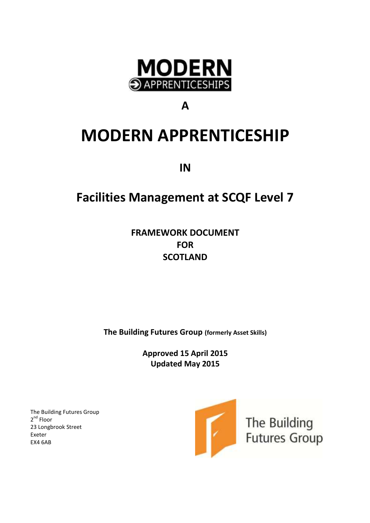

# **A**

# **MODERN APPRENTICESHIP**

**IN**

# **Facilities Management at SCQF Level 7**

**FRAMEWORK DOCUMENT FOR SCOTLAND**

**The Building Futures Group (formerly Asset Skills)**

**Approved 15 April 2015 Updated May 2015**

The Building Futures Group 2<sup>nd</sup> Floor 23 Longbrook Street Exeter EX4 6AB

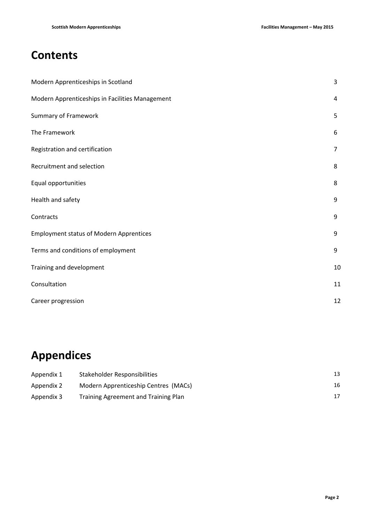# **Contents**

| Modern Apprenticeships in Scotland              | $\overline{3}$ |
|-------------------------------------------------|----------------|
| Modern Apprenticeships in Facilities Management | 4              |
| <b>Summary of Framework</b>                     | 5              |
| The Framework                                   | 6              |
| Registration and certification                  | $\overline{7}$ |
| Recruitment and selection                       | 8              |
| Equal opportunities                             | 8              |
| Health and safety                               | 9              |
| Contracts                                       | 9              |
| <b>Employment status of Modern Apprentices</b>  | 9              |
| Terms and conditions of employment              | 9              |
| Training and development                        | 10             |
| Consultation                                    | 11             |
| Career progression                              | 12             |

# **Appendices**

| Appendix 1 | Stakeholder Responsibilities         |    |
|------------|--------------------------------------|----|
| Appendix 2 | Modern Apprenticeship Centres (MACs) | 16 |
| Appendix 3 | Training Agreement and Training Plan |    |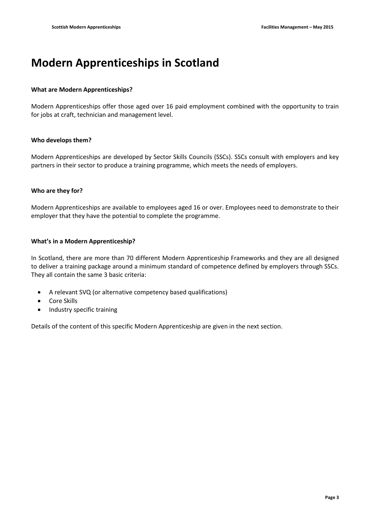# **Modern Apprenticeships in Scotland**

#### **What are Modern Apprenticeships?**

Modern Apprenticeships offer those aged over 16 paid employment combined with the opportunity to train for jobs at craft, technician and management level.

#### **Who develops them?**

Modern Apprenticeships are developed by Sector Skills Councils (SSCs). SSCs consult with employers and key partners in their sector to produce a training programme, which meets the needs of employers.

#### **Who are they for?**

Modern Apprenticeships are available to employees aged 16 or over. Employees need to demonstrate to their employer that they have the potential to complete the programme.

#### **What's in a Modern Apprenticeship?**

In Scotland, there are more than 70 different Modern Apprenticeship Frameworks and they are all designed to deliver a training package around a minimum standard of competence defined by employers through SSCs. They all contain the same 3 basic criteria:

- A relevant SVQ (or alternative competency based qualifications)
- Core Skills
- Industry specific training

Details of the content of this specific Modern Apprenticeship are given in the next section.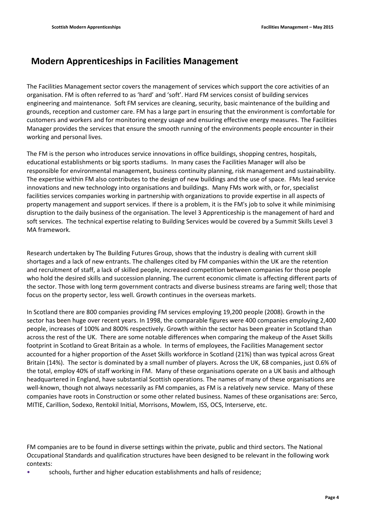## **Modern Apprenticeships in Facilities Management**

The Facilities Management sector covers the management of services which support the core activities of an organisation. FM is often referred to as 'hard' and 'soft'. Hard FM services consist of building services engineering and maintenance. Soft FM services are cleaning, security, basic maintenance of the building and grounds, reception and customer care. FM has a large part in ensuring that the environment is comfortable for customers and workers and for monitoring energy usage and ensuring effective energy measures. The Facilities Manager provides the services that ensure the smooth running of the environments people encounter in their working and personal lives.

The FM is the person who introduces service innovations in office buildings, shopping centres, hospitals, educational establishments or big sports stadiums. In many cases the Facilities Manager will also be responsible for environmental management, business continuity planning, risk management and sustainability. The expertise within FM also contributes to the design of new buildings and the use of space. FMs lead service innovations and new technology into organisations and buildings. Many FMs work with, or for, specialist facilities services companies working in partnership with organizations to provide expertise in all aspects of property management and support services. If there is a problem, it is the FM's job to solve it while minimising disruption to the daily business of the organisation. The level 3 Apprenticeship is the management of hard and soft services. The technical expertise relating to Building Services would be covered by a Summit Skills Level 3 MA framework.

Research undertaken by The Building Futures Group, shows that the industry is dealing with current skill shortages and a lack of new entrants. The challenges cited by FM companies within the UK are the retention and recruitment of staff, a lack of skilled people, increased competition between companies for those people who hold the desired skills and succession planning. The current economic climate is affecting different parts of the sector. Those with long term government contracts and diverse business streams are faring well; those that focus on the property sector, less well. Growth continues in the overseas markets.

In Scotland there are 800 companies providing FM services employing 19,200 people (2008). Growth in the sector has been huge over recent years. In 1998, the comparable figures were 400 companies employing 2,400 people, increases of 100% and 800% respectively. Growth within the sector has been greater in Scotland than across the rest of the UK. There are some notable differences when comparing the makeup of the Asset Skills footprint in Scotland to Great Britain as a whole. In terms of employees, the Facilities Management sector accounted for a higher proportion of the Asset Skills workforce in Scotland (21%) than was typical across Great Britain (14%). The sector is dominated by a small number of players. Across the UK, 68 companies, just 0.6% of the total, employ 40% of staff working in FM. Many of these organisations operate on a UK basis and although headquartered in England, have substantial Scottish operations. The names of many of these organisations are well-known, though not always necessarily as FM companies, as FM is a relatively new service. Many of these companies have roots in Construction or some other related business. Names of these organisations are: Serco, MITIE, Carillion, Sodexo, Rentokil Initial, Morrisons, Mowlem, ISS, OCS, Interserve, etc.

FM companies are to be found in diverse settings within the private, public and third sectors. The National Occupational Standards and qualification structures have been designed to be relevant in the following work contexts:

• schools, further and higher education establishments and halls of residence;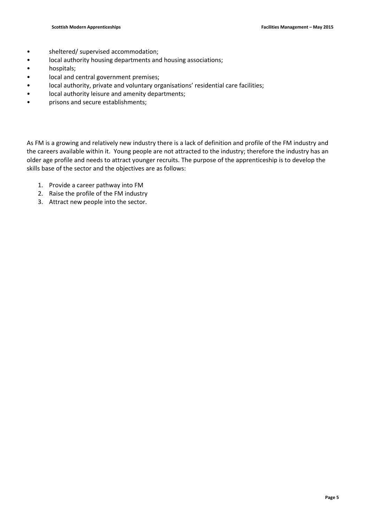- sheltered/ supervised accommodation;
- local authority housing departments and housing associations;
- hospitals;
- local and central government premises;
- local authority, private and voluntary organisations' residential care facilities;
- local authority leisure and amenity departments;
- prisons and secure establishments;

As FM is a growing and relatively new industry there is a lack of definition and profile of the FM industry and the careers available within it. Young people are not attracted to the industry; therefore the industry has an older age profile and needs to attract younger recruits. The purpose of the apprenticeship is to develop the skills base of the sector and the objectives are as follows:

- 1. Provide a career pathway into FM
- 2. Raise the profile of the FM industry
- 3. Attract new people into the sector.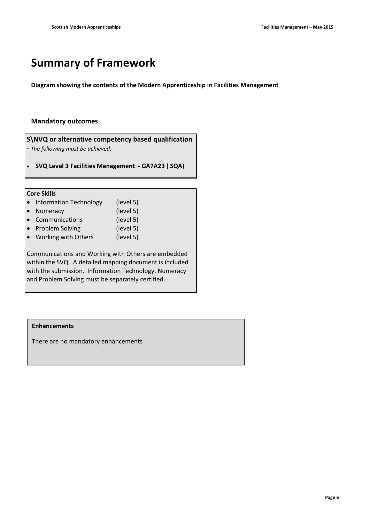# **Summary of Framework**

**Diagram showing the contents of the Modern Apprenticeship in Facilities Management**

#### **Mandatory outcomes**

**S\NVQ or alternative competency based qualification** 

**-** *The following must be achieved:*

**SVQ Level 3 Facilities Management - GA7A23 ( SQA)**

#### **Core Skills**

| • Information Technology            | (level 5)         |  |
|-------------------------------------|-------------------|--|
| • Numeracy                          | (level 5)         |  |
| • Communications                    | (level 5)         |  |
| المستنبط والمستملط ومستناه المستحدث | $(1 - 1 - 1 - 1)$ |  |

- Problem Solving (level 5)
- Working with Others (level 5)

Communications and Working with Others are embedded within the SVQ. A detailed mapping document is included with the submission. Information Technology, Numeracy and Problem Solving must be separately certified.

#### **Enhancements**

There are no mandatory enhancements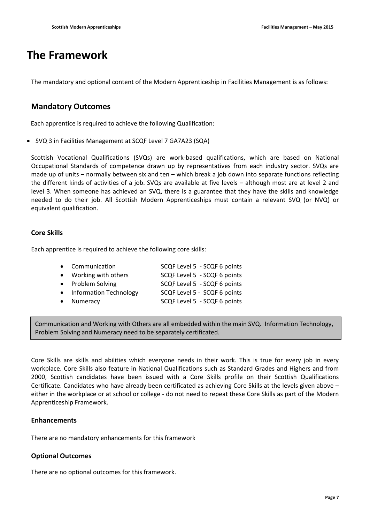# **The Framework**

The mandatory and optional content of the Modern Apprenticeship in Facilities Management is as follows:

### **Mandatory Outcomes**

Each apprentice is required to achieve the following Qualification:

SVQ 3 in Facilities Management at SCQF Level 7 GA7A23 (SQA)

Scottish Vocational Qualifications (SVQs) are work-based qualifications, which are based on National Occupational Standards of competence drawn up by representatives from each industry sector. SVQs are made up of units – normally between six and ten – which break a job down into separate functions reflecting the different kinds of activities of a job. SVQs are available at five levels – although most are at level 2 and level 3. When someone has achieved an SVQ, there is a guarantee that they have the skills and knowledge needed to do their job. All Scottish Modern Apprenticeships must contain a relevant SVQ (or NVQ) or equivalent qualification.

### **Core Skills**

Each apprentice is required to achieve the following core skills:

| • Communication          | SCQF Level 5 - SCQF 6 points |
|--------------------------|------------------------------|
| • Working with others    | SCQF Level 5 - SCQF 6 points |
| • Problem Solving        | SCQF Level 5 - SCQF 6 points |
| • Information Technology | SCQF Level 5 - SCQF 6 points |
| • Numeracy               | SCQF Level 5 - SCQF 6 points |
|                          |                              |

Communication and Working with Others are all embedded within the main SVQ. Information Technology, Problem Solving and Numeracy need to be separately certificated.

Core Skills are skills and abilities which everyone needs in their work. This is true for every job in every workplace. Core Skills also feature in National Qualifications such as Standard Grades and Highers and from 2000, Scottish candidates have been issued with a Core Skills profile on their Scottish Qualifications Certificate. Candidates who have already been certificated as achieving Core Skills at the levels given above – either in the workplace or at school or college - do not need to repeat these Core Skills as part of the Modern Apprenticeship Framework.

#### **Enhancements**

There are no mandatory enhancements for this framework

#### **Optional Outcomes**

There are no optional outcomes for this framework.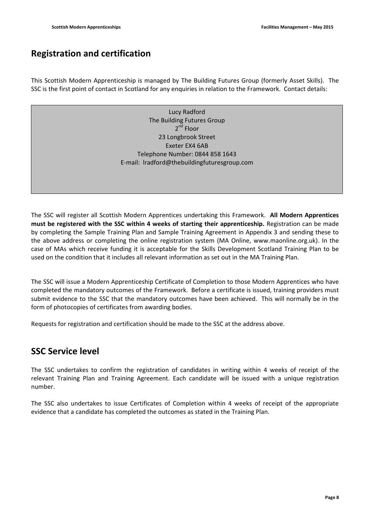## **Registration and certification**

This Scottish Modern Apprenticeship is managed by The Building Futures Group (formerly Asset Skills). The SSC is the first point of contact in Scotland for any enquiries in relation to the Framework. Contact details:

> Lucy Radford The Building Futures Group 2<sup>nd</sup> Floor 23 Longbrook Street Exeter EX4 6AB Telephone Number: 0844 858 1643 E-mail: lradford@thebuildingfuturesgroup.com

The SSC will register all Scottish Modern Apprentices undertaking this Framework. **All Modern Apprentices must be registered with the SSC within 4 weeks of starting their apprenticeship.** Registration can be made by completing the Sample Training Plan and Sample Training Agreement in Appendix 3 and sending these to the above address or completing the online registration system (MA Online, www.maonline.org.uk). In the case of MAs which receive funding it is acceptable for the Skills Development Scotland Training Plan to be used on the condition that it includes all relevant information as set out in the MA Training Plan.

The SSC will issue a Modern Apprenticeship Certificate of Completion to those Modern Apprentices who have completed the mandatory outcomes of the Framework. Before a certificate is issued, training providers must submit evidence to the SSC that the mandatory outcomes have been achieved. This will normally be in the form of photocopies of certificates from awarding bodies.

Requests for registration and certification should be made to the SSC at the address above.

## **SSC Service level**

The SSC undertakes to confirm the registration of candidates in writing within 4 weeks of receipt of the relevant Training Plan and Training Agreement. Each candidate will be issued with a unique registration number.

The SSC also undertakes to issue Certificates of Completion within 4 weeks of receipt of the appropriate evidence that a candidate has completed the outcomes as stated in the Training Plan.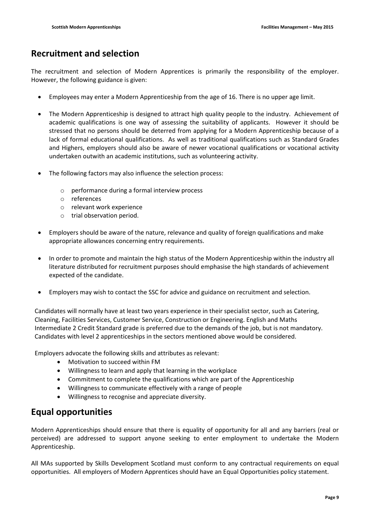## **Recruitment and selection**

The recruitment and selection of Modern Apprentices is primarily the responsibility of the employer. However, the following guidance is given:

- Employees may enter a Modern Apprenticeship from the age of 16. There is no upper age limit.
- The Modern Apprenticeship is designed to attract high quality people to the industry. Achievement of academic qualifications is one way of assessing the suitability of applicants. However it should be stressed that no persons should be deterred from applying for a Modern Apprenticeship because of a lack of formal educational qualifications. As well as traditional qualifications such as Standard Grades and Highers, employers should also be aware of newer vocational qualifications or vocational activity undertaken outwith an academic institutions, such as volunteering activity.
- The following factors may also influence the selection process:
	- o performance during a formal interview process
	- o references
	- o relevant work experience
	- o trial observation period.
- Employers should be aware of the nature, relevance and quality of foreign qualifications and make appropriate allowances concerning entry requirements.
- In order to promote and maintain the high status of the Modern Apprenticeship within the industry all literature distributed for recruitment purposes should emphasise the high standards of achievement expected of the candidate.
- Employers may wish to contact the SSC for advice and guidance on recruitment and selection.

Candidates will normally have at least two years experience in their specialist sector, such as Catering, Cleaning, Facilities Services, Customer Service, Construction or Engineering. English and Maths Intermediate 2 Credit Standard grade is preferred due to the demands of the job, but is not mandatory. Candidates with level 2 apprenticeships in the sectors mentioned above would be considered.

Employers advocate the following skills and attributes as relevant:

- Motivation to succeed within FM
- Willingness to learn and apply that learning in the workplace
- Commitment to complete the qualifications which are part of the Apprenticeship
- Willingness to communicate effectively with a range of people
- Willingness to recognise and appreciate diversity.

## **Equal opportunities**

Modern Apprenticeships should ensure that there is equality of opportunity for all and any barriers (real or perceived) are addressed to support anyone seeking to enter employment to undertake the Modern Apprenticeship.

All MAs supported by Skills Development Scotland must conform to any contractual requirements on equal opportunities. All employers of Modern Apprentices should have an Equal Opportunities policy statement.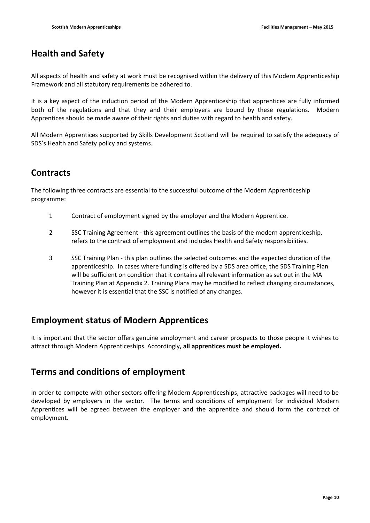## **Health and Safety**

All aspects of health and safety at work must be recognised within the delivery of this Modern Apprenticeship Framework and all statutory requirements be adhered to.

It is a key aspect of the induction period of the Modern Apprenticeship that apprentices are fully informed both of the regulations and that they and their employers are bound by these regulations. Modern Apprentices should be made aware of their rights and duties with regard to health and safety.

All Modern Apprentices supported by Skills Development Scotland will be required to satisfy the adequacy of SDS's Health and Safety policy and systems.

## **Contracts**

The following three contracts are essential to the successful outcome of the Modern Apprenticeship programme:

- 1 Contract of employment signed by the employer and the Modern Apprentice.
- 2 SSC Training Agreement this agreement outlines the basis of the modern apprenticeship, refers to the contract of employment and includes Health and Safety responsibilities.
- 3 SSC Training Plan this plan outlines the selected outcomes and the expected duration of the apprenticeship. In cases where funding is offered by a SDS area office, the SDS Training Plan will be sufficient on condition that it contains all relevant information as set out in the MA Training Plan at Appendix 2. Training Plans may be modified to reflect changing circumstances, however it is essential that the SSC is notified of any changes.

## **Employment status of Modern Apprentices**

It is important that the sector offers genuine employment and career prospects to those people it wishes to attract through Modern Apprenticeships. Accordingly**, all apprentices must be employed.**

## **Terms and conditions of employment**

In order to compete with other sectors offering Modern Apprenticeships, attractive packages will need to be developed by employers in the sector. The terms and conditions of employment for individual Modern Apprentices will be agreed between the employer and the apprentice and should form the contract of employment.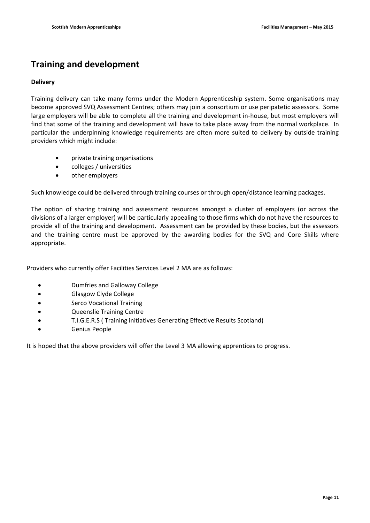# **Training and development**

### **Delivery**

Training delivery can take many forms under the Modern Apprenticeship system. Some organisations may become approved SVQ Assessment Centres; others may join a consortium or use peripatetic assessors. Some large employers will be able to complete all the training and development in-house, but most employers will find that some of the training and development will have to take place away from the normal workplace. In particular the underpinning knowledge requirements are often more suited to delivery by outside training providers which might include:

- private training organisations
- colleges / universities
- other employers

Such knowledge could be delivered through training courses or through open/distance learning packages.

The option of sharing training and assessment resources amongst a cluster of employers (or across the divisions of a larger employer) will be particularly appealing to those firms which do not have the resources to provide all of the training and development. Assessment can be provided by these bodies, but the assessors and the training centre must be approved by the awarding bodies for the SVQ and Core Skills where appropriate.

Providers who currently offer Facilities Services Level 2 MA are as follows:

- Dumfries and Galloway College
- Glasgow Clyde College
- Serco Vocational Training
- Queenslie Training Centre
- T.I.G.E.R.S ( Training initiatives Generating Effective Results Scotland)
- Genius People

It is hoped that the above providers will offer the Level 3 MA allowing apprentices to progress.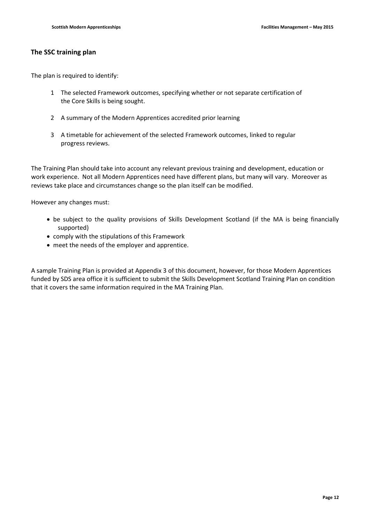### **The SSC training plan**

The plan is required to identify:

- 1 The selected Framework outcomes, specifying whether or not separate certification of the Core Skills is being sought.
- 2 A summary of the Modern Apprentices accredited prior learning
- 3 A timetable for achievement of the selected Framework outcomes, linked to regular progress reviews.

The Training Plan should take into account any relevant previous training and development, education or work experience. Not all Modern Apprentices need have different plans, but many will vary. Moreover as reviews take place and circumstances change so the plan itself can be modified.

However any changes must:

- be subject to the quality provisions of Skills Development Scotland (if the MA is being financially supported)
- comply with the stipulations of this Framework
- meet the needs of the employer and apprentice.

A sample Training Plan is provided at Appendix 3 of this document, however, for those Modern Apprentices funded by SDS area office it is sufficient to submit the Skills Development Scotland Training Plan on condition that it covers the same information required in the MA Training Plan.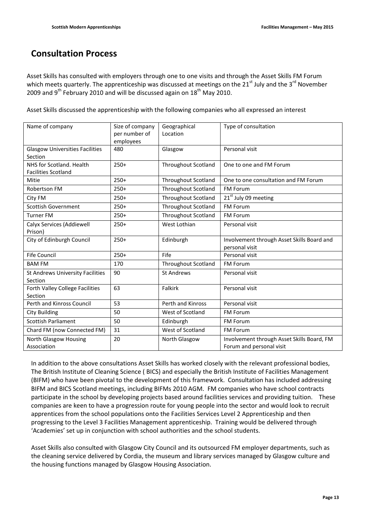## **Consultation Process**

Asset Skills has consulted with employers through one to one visits and through the Asset Skills FM Forum which meets quarterly. The apprenticeship was discussed at meetings on the  $21<sup>st</sup>$  July and the  $3<sup>rd</sup>$  November 2009 and  $9^{th}$  February 2010 and will be discussed again on  $18^{th}$  May 2010.

Asset Skills discussed the apprenticeship with the following companies who all expressed an interest

| Name of company                                        | Size of company<br>per number of<br>employees | Geographical<br>Location   | Type of consultation                                                   |
|--------------------------------------------------------|-----------------------------------------------|----------------------------|------------------------------------------------------------------------|
| <b>Glasgow Universities Facilities</b><br>Section      | 480                                           | Glasgow                    | Personal visit                                                         |
| NHS for Scotland, Health<br><b>Facilities Scotland</b> | $250+$                                        | <b>Throughout Scotland</b> | One to one and FM Forum                                                |
| Mitie                                                  | $250+$                                        | <b>Throughout Scotland</b> | One to one consultation and FM Forum                                   |
| Robertson FM                                           | $250+$                                        | Throughout Scotland        | FM Forum                                                               |
| City FM                                                | $250+$                                        | <b>Throughout Scotland</b> | $21st$ July 09 meeting                                                 |
| <b>Scottish Government</b>                             | $250+$                                        | Throughout Scotland        | <b>FM Forum</b>                                                        |
| <b>Turner FM</b>                                       | $250+$                                        | Throughout Scotland        | FM Forum                                                               |
| Calyx Services (Addiewell<br>Prison)                   | $250+$                                        | West Lothian               | Personal visit                                                         |
| City of Edinburgh Council                              | $250+$                                        | Edinburgh                  | Involvement through Asset Skills Board and<br>personal visit           |
| <b>Fife Council</b>                                    | $250+$                                        | Fife                       | Personal visit                                                         |
| <b>BAM FM</b>                                          | 170                                           | <b>Throughout Scotland</b> | <b>FM Forum</b>                                                        |
| St Andrews University Facilities<br>Section            | 90                                            | <b>St Andrews</b>          | Personal visit                                                         |
| Forth Valley College Facilities<br>Section             | 63                                            | Falkirk                    | Personal visit                                                         |
| Perth and Kinross Council                              | 53                                            | Perth and Kinross          | Personal visit                                                         |
| City Building                                          | 50                                            | West of Scotland           | <b>FM Forum</b>                                                        |
| <b>Scottish Parliament</b>                             | 50                                            | Edinburgh                  | <b>FM Forum</b>                                                        |
| Chard FM (now Connected FM)                            | 31                                            | West of Scotland           | <b>FM Forum</b>                                                        |
| <b>North Glasgow Housing</b><br>Association            | 20                                            | North Glasgow              | Involvement through Asset Skills Board, FM<br>Forum and personal visit |

In addition to the above consultations Asset Skills has worked closely with the relevant professional bodies, The British Institute of Cleaning Science ( BICS) and especially the British Institute of Facilities Management (BIFM) who have been pivotal to the development of this framework. Consultation has included addressing BIFM and BICS Scotland meetings, including BIFMs 2010 AGM. FM companies who have school contracts participate in the school by developing projects based around facilities services and providing tuition. These companies are keen to have a progression route for young people into the sector and would look to recruit apprentices from the school populations onto the Facilities Services Level 2 Apprenticeship and then progressing to the Level 3 Facilities Management apprenticeship. Training would be delivered through 'Academies' set up in conjunction with school authorities and the school students.

Asset Skills also consulted with Glasgow City Council and its outsourced FM employer departments, such as the cleaning service delivered by Cordia, the museum and library services managed by Glasgow culture and the housing functions managed by Glasgow Housing Association.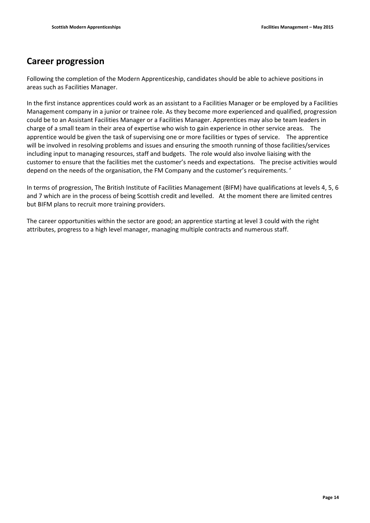## **Career progression**

Following the completion of the Modern Apprenticeship, candidates should be able to achieve positions in areas such as Facilities Manager.

In the first instance apprentices could work as an assistant to a Facilities Manager or be employed by a Facilities Management company in a junior or trainee role. As they become more experienced and qualified, progression could be to an Assistant Facilities Manager or a Facilities Manager. Apprentices may also be team leaders in charge of a small team in their area of expertise who wish to gain experience in other service areas. The apprentice would be given the task of supervising one or more facilities or types of service. The apprentice will be involved in resolving problems and issues and ensuring the smooth running of those facilities/services including input to managing resources, staff and budgets. The role would also involve liaising with the customer to ensure that the facilities met the customer's needs and expectations. The precise activities would depend on the needs of the organisation, the FM Company and the customer's requirements. '

In terms of progression, The British Institute of Facilities Management (BIFM) have qualifications at levels 4, 5, 6 and 7 which are in the process of being Scottish credit and levelled. At the moment there are limited centres but BIFM plans to recruit more training providers.

The career opportunities within the sector are good; an apprentice starting at level 3 could with the right attributes, progress to a high level manager, managing multiple contracts and numerous staff.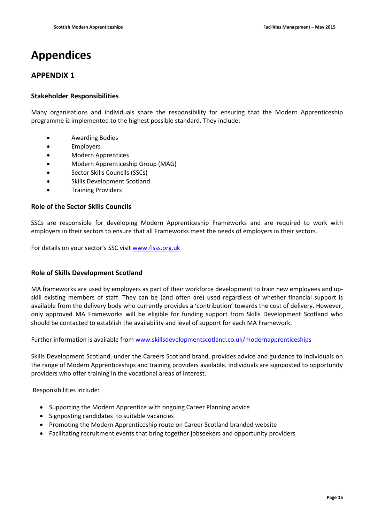# **Appendices**

## **APPENDIX 1**

### **Stakeholder Responsibilities**

Many organisations and individuals share the responsibility for ensuring that the Modern Apprenticeship programme is implemented to the highest possible standard. They include:

- Awarding Bodies
- Employers
- Modern Apprentices
- Modern Apprenticeship Group (MAG)
- Sector Skills Councils (SSCs)
- Skills Development Scotland
- Training Providers

### **Role of the Sector Skills Councils**

SSCs are responsible for developing Modern Apprenticeship Frameworks and are required to work with employers in their sectors to ensure that all Frameworks meet the needs of employers in their sectors.

For details on your sector's SSC visit [www.fisss.org.uk](http://www.fisss.org.uk/)

### **Role of Skills Development Scotland**

MA frameworks are used by employers as part of their workforce development to train new employees and upskill existing members of staff. They can be (and often are) used regardless of whether financial support is available from the delivery body who currently provides a 'contribution' towards the cost of delivery. However, only approved MA Frameworks will be eligible for funding support from Skills Development Scotland who should be contacted to establish the availability and level of support for each MA Framework.

Further information is available from [www.skillsdevelopmentscotland.co.uk/modernapprenticeships](http://www.skillsdevelopmentscotland.co.uk/modernapprenticeships)

Skills Development Scotland, under the Careers Scotland brand, provides advice and guidance to individuals on the range of Modern Apprenticeships and training providers available. Individuals are signposted to opportunity providers who offer training in the vocational areas of interest.

Responsibilities include:

- Supporting the Modern Apprentice with ongoing Career Planning advice
- Signposting candidates to suitable vacancies
- Promoting the Modern Apprenticeship route on Career Scotland branded website
- Facilitating recruitment events that bring together jobseekers and opportunity providers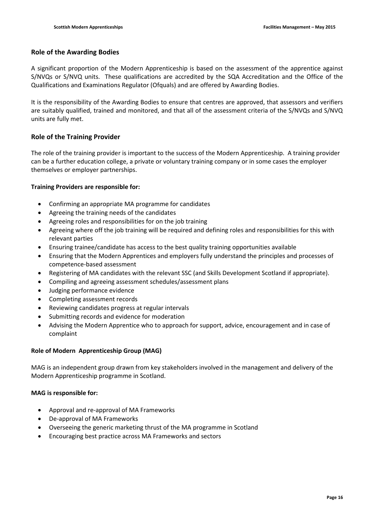#### **Role of the Awarding Bodies**

A significant proportion of the Modern Apprenticeship is based on the assessment of the apprentice against S/NVQs or S/NVQ units. These qualifications are accredited by the SQA Accreditation and the Office of the Qualifications and Examinations Regulator (Ofquals) and are offered by Awarding Bodies.

It is the responsibility of the Awarding Bodies to ensure that centres are approved, that assessors and verifiers are suitably qualified, trained and monitored, and that all of the assessment criteria of the S/NVQs and S/NVQ units are fully met.

### **Role of the Training Provider**

The role of the training provider is important to the success of the Modern Apprenticeship. A training provider can be a further education college, a private or voluntary training company or in some cases the employer themselves or employer partnerships.

#### **Training Providers are responsible for:**

- Confirming an appropriate MA programme for candidates
- Agreeing the training needs of the candidates
- Agreeing roles and responsibilities for on the job training
- Agreeing where off the job training will be required and defining roles and responsibilities for this with relevant parties
- Ensuring trainee/candidate has access to the best quality training opportunities available
- Ensuring that the Modern Apprentices and employers fully understand the principles and processes of competence-based assessment
- Registering of MA candidates with the relevant SSC (and Skills Development Scotland if appropriate).
- Compiling and agreeing assessment schedules/assessment plans
- Judging performance evidence
- Completing assessment records
- Reviewing candidates progress at regular intervals
- Submitting records and evidence for moderation
- Advising the Modern Apprentice who to approach for support, advice, encouragement and in case of complaint

#### **Role of Modern Apprenticeship Group (MAG)**

MAG is an independent group drawn from key stakeholders involved in the management and delivery of the Modern Apprenticeship programme in Scotland.

#### **MAG is responsible for:**

- Approval and re-approval of MA Frameworks
- De-approval of MA Frameworks
- Overseeing the generic marketing thrust of the MA programme in Scotland
- Encouraging best practice across MA Frameworks and sectors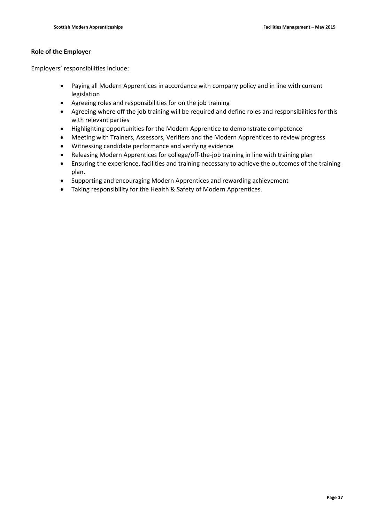#### **Role of the Employer**

Employers' responsibilities include:

- Paying all Modern Apprentices in accordance with company policy and in line with current legislation
- Agreeing roles and responsibilities for on the job training
- Agreeing where off the job training will be required and define roles and responsibilities for this with relevant parties
- Highlighting opportunities for the Modern Apprentice to demonstrate competence
- Meeting with Trainers, Assessors, Verifiers and the Modern Apprentices to review progress
- Witnessing candidate performance and verifying evidence
- Releasing Modern Apprentices for college/off-the-job training in line with training plan
- Ensuring the experience, facilities and training necessary to achieve the outcomes of the training plan.
- Supporting and encouraging Modern Apprentices and rewarding achievement
- Taking responsibility for the Health & Safety of Modern Apprentices.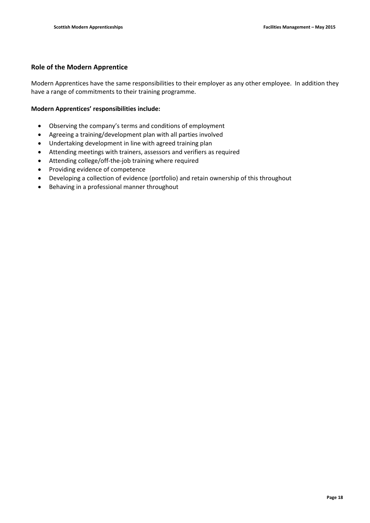### **Role of the Modern Apprentice**

Modern Apprentices have the same responsibilities to their employer as any other employee. In addition they have a range of commitments to their training programme.

#### **Modern Apprentices' responsibilities include:**

- Observing the company's terms and conditions of employment
- Agreeing a training/development plan with all parties involved
- Undertaking development in line with agreed training plan
- Attending meetings with trainers, assessors and verifiers as required
- Attending college/off-the-job training where required
- Providing evidence of competence
- Developing a collection of evidence (portfolio) and retain ownership of this throughout
- Behaving in a professional manner throughout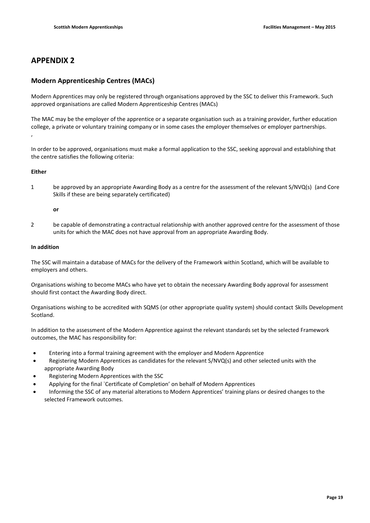### **APPENDIX 2**

#### **Modern Apprenticeship Centres (MACs)**

Modern Apprentices may only be registered through organisations approved by the SSC to deliver this Framework. Such approved organisations are called Modern Apprenticeship Centres (MACs)

The MAC may be the employer of the apprentice or a separate organisation such as a training provider, further education college, a private or voluntary training company or in some cases the employer themselves or employer partnerships.

In order to be approved, organisations must make a formal application to the SSC, seeking approval and establishing that the centre satisfies the following criteria:

#### **Either**

,

1 be approved by an appropriate Awarding Body as a centre for the assessment of the relevant S/NVQ(s) (and Core Skills if these are being separately certificated)

#### **or**

2 be capable of demonstrating a contractual relationship with another approved centre for the assessment of those units for which the MAC does not have approval from an appropriate Awarding Body.

#### **In addition**

The SSC will maintain a database of MACs for the delivery of the Framework within Scotland, which will be available to employers and others.

Organisations wishing to become MACs who have yet to obtain the necessary Awarding Body approval for assessment should first contact the Awarding Body direct.

Organisations wishing to be accredited with SQMS (or other appropriate quality system) should contact Skills Development Scotland.

In addition to the assessment of the Modern Apprentice against the relevant standards set by the selected Framework outcomes, the MAC has responsibility for:

- Entering into a formal training agreement with the employer and Modern Apprentice
- Registering Modern Apprentices as candidates for the relevant S/NVQ(s) and other selected units with the appropriate Awarding Body
- Registering Modern Apprentices with the SSC
- Applying for the final `Certificate of Completion' on behalf of Modern Apprentices
- Informing the SSC of any material alterations to Modern Apprentices' training plans or desired changes to the selected Framework outcomes.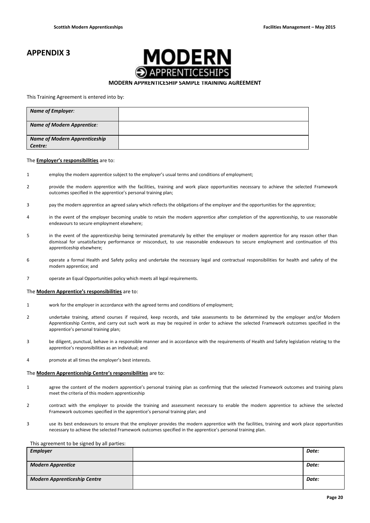## **APPENDIX 3**



#### **MODERN APPRENTICESHIP SAMPLE TRAINING AGREEMENT**

#### This Training Agreement is entered into by:

| <b>Name of Employer:</b>             |  |
|--------------------------------------|--|
| <b>Name of Modern Apprentice:</b>    |  |
| <b>Name of Modern Apprenticeship</b> |  |
| Centre:                              |  |

#### The **Employer's responsibilities** are to:

- 1 employ the modern apprentice subject to the employer's usual terms and conditions of employment;
- 2 provide the modern apprentice with the facilities, training and work place opportunities necessary to achieve the selected Framework outcomes specified in the apprentice's personal training plan;
- 3 pay the modern apprentice an agreed salary which reflects the obligations of the employer and the opportunities for the apprentice;
- 4 in the event of the employer becoming unable to retain the modern apprentice after completion of the apprenticeship, to use reasonable endeavours to secure employment elsewhere;
- 5 in the event of the apprenticeship being terminated prematurely by either the employer or modern apprentice for any reason other than dismissal for unsatisfactory performance or misconduct, to use reasonable endeavours to secure employment and continuation of this apprenticeship elsewhere;
- 6 operate a formal Health and Safety policy and undertake the necessary legal and contractual responsibilities for health and safety of the modern apprentice; and
- 7 operate an Equal Opportunities policy which meets all legal requirements.

#### The **Modern Apprentice's responsibilities** are to:

- 1 work for the employer in accordance with the agreed terms and conditions of employment;
- 2 undertake training, attend courses if required, keep records, and take assessments to be determined by the employer and/or Modern Apprenticeship Centre, and carry out such work as may be required in order to achieve the selected Framework outcomes specified in the apprentice's personal training plan;
- 3 be diligent, punctual, behave in a responsible manner and in accordance with the requirements of Health and Safety legislation relating to the apprentice's responsibilities as an individual; and
- 4 promote at all times the employer's best interests.

#### The **Modern Apprenticeship Centre's responsibilities** are to:

- 1 agree the content of the modern apprentice's personal training plan as confirming that the selected Framework outcomes and training plans meet the criteria of this modern apprenticeship
- 2 contract with the employer to provide the training and assessment necessary to enable the modern apprentice to achieve the selected Framework outcomes specified in the apprentice's personal training plan; and
- 3 use its best endeavours to ensure that the employer provides the modern apprentice with the facilities, training and work place opportunities necessary to achieve the selected Framework outcomes specified in the apprentice's personal training plan.

#### This agreement to be signed by all parties:

| <b>Employer</b>                     | Date: |
|-------------------------------------|-------|
| <b>Modern Apprentice</b>            | Date: |
| <b>Modern Apprenticeship Centre</b> | Date: |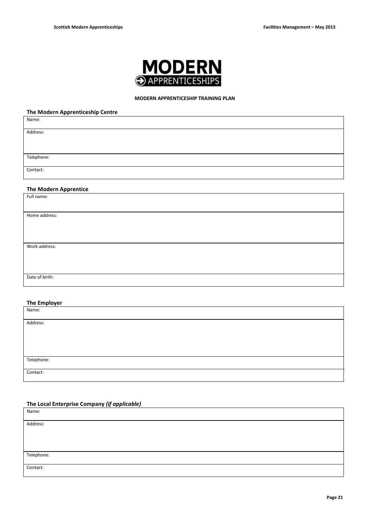

#### **MODERN APPRENTICESHIP TRAINING PLAN**

#### **The Modern Apprenticeship Centre**

| Name:                        |
|------------------------------|
| Address:                     |
|                              |
|                              |
| Telephone:                   |
| Contact:                     |
|                              |
|                              |
| <b>The Modern Apprentice</b> |
| Full name:                   |
|                              |
| Home address:                |
|                              |
|                              |
|                              |
| Work address:                |
|                              |
|                              |
|                              |
| Date of birth:               |
|                              |

#### **The Employer**

| Name:      |  |
|------------|--|
|            |  |
| Address:   |  |
|            |  |
|            |  |
|            |  |
|            |  |
|            |  |
| Telephone: |  |
|            |  |
|            |  |
| Contact:   |  |
|            |  |

### **The Local Enterprise Company** *(if applicable)*

| Name:      |  |
|------------|--|
| Address:   |  |
|            |  |
|            |  |
|            |  |
|            |  |
| Telephone: |  |
|            |  |
| Contact:   |  |
|            |  |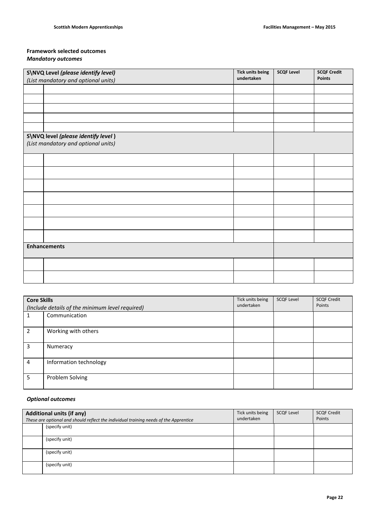#### **Framework selected outcomes** *Mandatory outcomes*

|                                                   | S\NVQ Level (please identify level)                                        | <b>Tick units being</b> | <b>SCQF Level</b> | <b>SCQF Credit</b> |  |
|---------------------------------------------------|----------------------------------------------------------------------------|-------------------------|-------------------|--------------------|--|
| undertaken<br>(List mandatory and optional units) |                                                                            |                         | Points            |                    |  |
|                                                   |                                                                            |                         |                   |                    |  |
|                                                   |                                                                            |                         |                   |                    |  |
|                                                   |                                                                            |                         |                   |                    |  |
|                                                   |                                                                            |                         |                   |                    |  |
|                                                   |                                                                            |                         |                   |                    |  |
|                                                   | S\NVQ level (please identify level)<br>(List mandatory and optional units) |                         |                   |                    |  |
|                                                   |                                                                            |                         |                   |                    |  |
|                                                   |                                                                            |                         |                   |                    |  |
|                                                   |                                                                            |                         |                   |                    |  |
|                                                   |                                                                            |                         |                   |                    |  |
|                                                   |                                                                            |                         |                   |                    |  |
|                                                   |                                                                            |                         |                   |                    |  |
|                                                   |                                                                            |                         |                   |                    |  |
| <b>Enhancements</b>                               |                                                                            |                         |                   |                    |  |
|                                                   |                                                                            |                         |                   |                    |  |
|                                                   |                                                                            |                         |                   |                    |  |

| <b>Core Skills</b> | (Include details of the minimum level required) | Tick units being<br>undertaken | <b>SCQF Level</b> | <b>SCQF Credit</b><br>Points |
|--------------------|-------------------------------------------------|--------------------------------|-------------------|------------------------------|
|                    | Communication                                   |                                |                   |                              |
| $\mathcal{P}$      | Working with others                             |                                |                   |                              |
| 3                  | Numeracy                                        |                                |                   |                              |
| 4                  | Information technology                          |                                |                   |                              |
| 5                  | Problem Solving                                 |                                |                   |                              |

### *Optional outcomes*

| <b>Additional units (if any)</b>                                                      |                | Tick units being | <b>SCQF Level</b> | <b>SCQF Credit</b> |
|---------------------------------------------------------------------------------------|----------------|------------------|-------------------|--------------------|
| These are optional and should reflect the individual training needs of the Apprentice |                | undertaken       |                   | Points             |
|                                                                                       | (specify unit) |                  |                   |                    |
|                                                                                       |                |                  |                   |                    |
|                                                                                       | (specify unit) |                  |                   |                    |
|                                                                                       |                |                  |                   |                    |
|                                                                                       | (specify unit) |                  |                   |                    |
|                                                                                       |                |                  |                   |                    |
|                                                                                       | (specify unit) |                  |                   |                    |
|                                                                                       |                |                  |                   |                    |